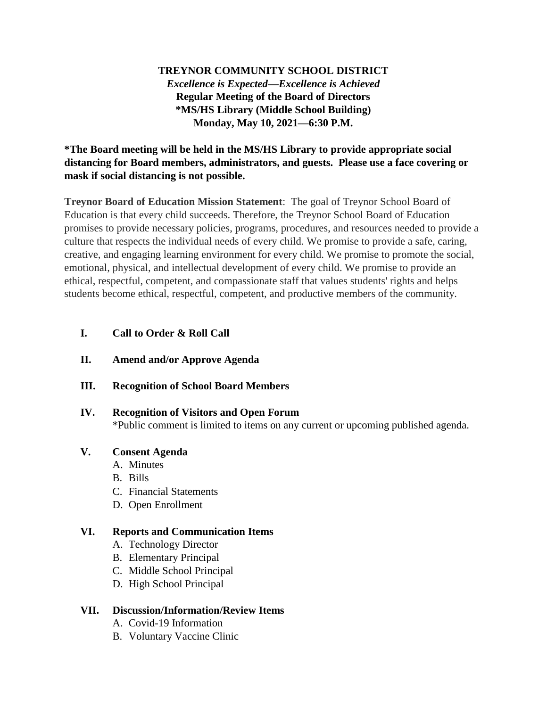## **TREYNOR COMMUNITY SCHOOL DISTRICT** *Excellence is Expected—Excellence is Achieved* **Regular Meeting of the Board of Directors \*MS/HS Library (Middle School Building) Monday, May 10, 2021—6:30 P.M.**

**\*The Board meeting will be held in the MS/HS Library to provide appropriate social distancing for Board members, administrators, and guests. Please use a face covering or mask if social distancing is not possible.**

**Treynor Board of Education Mission Statement**: The goal of Treynor School Board of Education is that every child succeeds. Therefore, the Treynor School Board of Education promises to provide necessary policies, programs, procedures, and resources needed to provide a culture that respects the individual needs of every child. We promise to provide a safe, caring, creative, and engaging learning environment for every child. We promise to promote the social, emotional, physical, and intellectual development of every child. We promise to provide an ethical, respectful, competent, and compassionate staff that values students' rights and helps students become ethical, respectful, competent, and productive members of the community.

### **I. Call to Order & Roll Call**

- **II. Amend and/or Approve Agenda**
- **III. Recognition of School Board Members**
- **IV. Recognition of Visitors and Open Forum** \*Public comment is limited to items on any current or upcoming published agenda.
- **V. Consent Agenda**
	- A. Minutes
	- B. Bills
	- C. Financial Statements
	- D. Open Enrollment

#### **VI. Reports and Communication Items**

- A. Technology Director
- B. Elementary Principal
- C. Middle School Principal
- D. High School Principal

# **VII. Discussion/Information/Review Items**

- A. Covid-19 Information
- B. Voluntary Vaccine Clinic